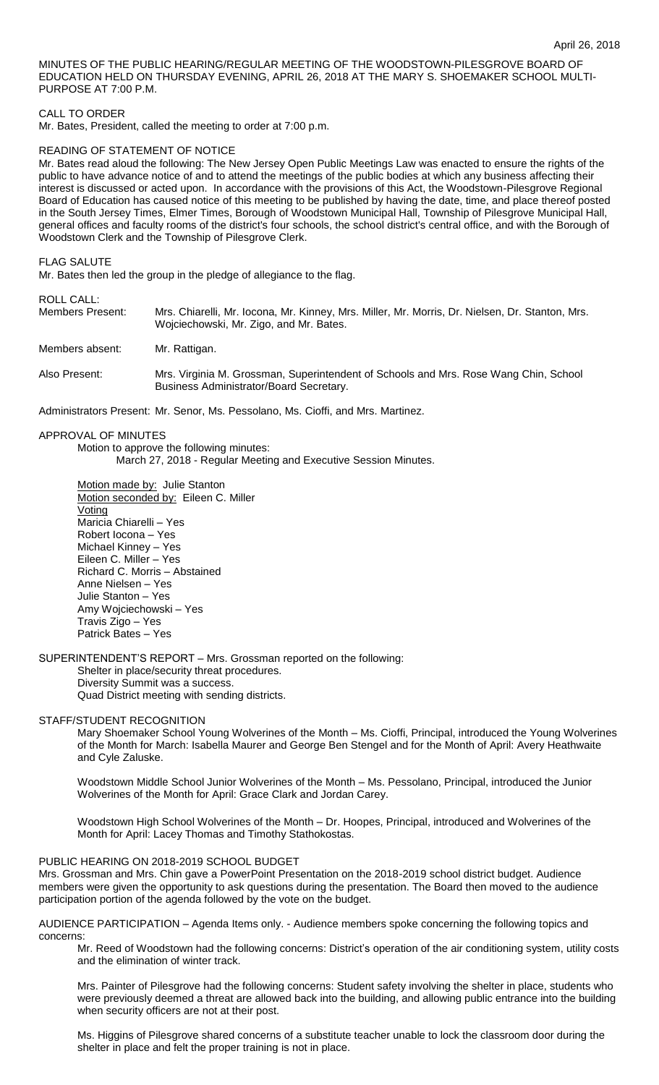MINUTES OF THE PUBLIC HEARING/REGULAR MEETING OF THE WOODSTOWN-PILESGROVE BOARD OF EDUCATION HELD ON THURSDAY EVENING, APRIL 26, 2018 AT THE MARY S. SHOEMAKER SCHOOL MULTI-PURPOSE AT 7:00 P.M.

#### CALL TO ORDER

Mr. Bates, President, called the meeting to order at 7:00 p.m.

#### READING OF STATEMENT OF NOTICE

Mr. Bates read aloud the following: The New Jersey Open Public Meetings Law was enacted to ensure the rights of the public to have advance notice of and to attend the meetings of the public bodies at which any business affecting their interest is discussed or acted upon. In accordance with the provisions of this Act, the Woodstown-Pilesgrove Regional Board of Education has caused notice of this meeting to be published by having the date, time, and place thereof posted in the South Jersey Times, Elmer Times, Borough of Woodstown Municipal Hall, Township of Pilesgrove Municipal Hall, general offices and faculty rooms of the district's four schools, the school district's central office, and with the Borough of Woodstown Clerk and the Township of Pilesgrove Clerk.

#### FLAG SALUTE

Mr. Bates then led the group in the pledge of allegiance to the flag.

#### ROLL CALL:

| Members Present: | Mrs. Chiarelli, Mr. Iocona, Mr. Kinney, Mrs. Miller, Mr. Morris, Dr. Nielsen, Dr. Stanton, Mrs.<br>Wojciechowski, Mr. Zigo, and Mr. Bates. |
|------------------|--------------------------------------------------------------------------------------------------------------------------------------------|
| Members absent:  | Mr. Rattigan.                                                                                                                              |
| Also Present:    | Mrs. Virginia M. Grossman, Superintendent of Schools and Mrs. Rose Wang Chin, School<br>Business Administrator/Board Secretary.            |

Administrators Present: Mr. Senor, Ms. Pessolano, Ms. Cioffi, and Mrs. Martinez.

APPROVAL OF MINUTES Motion to approve the following minutes: March 27, 2018 - Regular Meeting and Executive Session Minutes.

Motion made by: Julie Stanton Motion seconded by: Eileen C. Miller Voting Maricia Chiarelli – Yes Robert Iocona – Yes Michael Kinney – Yes Eileen C. Miller – Yes Richard C. Morris – Abstained Anne Nielsen – Yes Julie Stanton – Yes Amy Wojciechowski – Yes Travis Zigo – Yes Patrick Bates – Yes

SUPERINTENDENT'S REPORT – Mrs. Grossman reported on the following:

Shelter in place/security threat procedures. Diversity Summit was a success. Quad District meeting with sending districts.

#### STAFF/STUDENT RECOGNITION

Mary Shoemaker School Young Wolverines of the Month – Ms. Cioffi, Principal, introduced the Young Wolverines of the Month for March: Isabella Maurer and George Ben Stengel and for the Month of April: Avery Heathwaite and Cyle Zaluske.

Woodstown Middle School Junior Wolverines of the Month – Ms. Pessolano, Principal, introduced the Junior Wolverines of the Month for April: Grace Clark and Jordan Carey.

Woodstown High School Wolverines of the Month – Dr. Hoopes, Principal, introduced and Wolverines of the Month for April: Lacey Thomas and Timothy Stathokostas.

# PUBLIC HEARING ON 2018-2019 SCHOOL BUDGET

Mrs. Grossman and Mrs. Chin gave a PowerPoint Presentation on the 2018-2019 school district budget. Audience members were given the opportunity to ask questions during the presentation. The Board then moved to the audience participation portion of the agenda followed by the vote on the budget.

AUDIENCE PARTICIPATION – Agenda Items only. - Audience members spoke concerning the following topics and concerns:

Mr. Reed of Woodstown had the following concerns: District's operation of the air conditioning system, utility costs and the elimination of winter track.

Mrs. Painter of Pilesgrove had the following concerns: Student safety involving the shelter in place, students who were previously deemed a threat are allowed back into the building, and allowing public entrance into the building when security officers are not at their post.

Ms. Higgins of Pilesgrove shared concerns of a substitute teacher unable to lock the classroom door during the shelter in place and felt the proper training is not in place.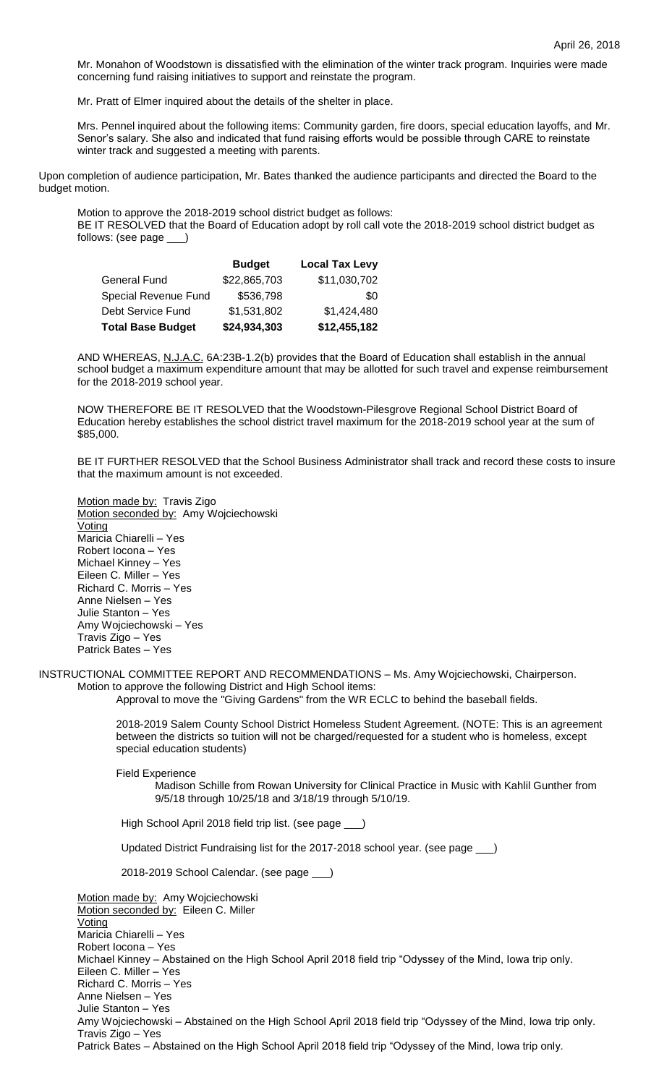Mr. Monahon of Woodstown is dissatisfied with the elimination of the winter track program. Inquiries were made concerning fund raising initiatives to support and reinstate the program.

Mr. Pratt of Elmer inquired about the details of the shelter in place.

Mrs. Pennel inquired about the following items: Community garden, fire doors, special education layoffs, and Mr. Senor's salary. She also and indicated that fund raising efforts would be possible through CARE to reinstate winter track and suggested a meeting with parents.

Upon completion of audience participation, Mr. Bates thanked the audience participants and directed the Board to the budget motion.

Motion to approve the 2018-2019 school district budget as follows:

BE IT RESOLVED that the Board of Education adopt by roll call vote the 2018-2019 school district budget as follows: (see page \_\_\_)

|                          | <b>Budget</b> | <b>Local Tax Levy</b> |
|--------------------------|---------------|-----------------------|
| <b>General Fund</b>      | \$22,865,703  | \$11,030,702          |
| Special Revenue Fund     | \$536,798     | \$0                   |
| Debt Service Fund        | \$1,531,802   | \$1,424,480           |
| <b>Total Base Budget</b> | \$24,934,303  | \$12,455,182          |

AND WHEREAS, N.J.A.C. 6A:23B-1.2(b) provides that the Board of Education shall establish in the annual school budget a maximum expenditure amount that may be allotted for such travel and expense reimbursement for the 2018-2019 school year.

NOW THEREFORE BE IT RESOLVED that the Woodstown-Pilesgrove Regional School District Board of Education hereby establishes the school district travel maximum for the 2018-2019 school year at the sum of \$85,000.

BE IT FURTHER RESOLVED that the School Business Administrator shall track and record these costs to insure that the maximum amount is not exceeded.

Motion made by: Travis Zigo Motion seconded by: Amy Wojciechowski Voting Maricia Chiarelli – Yes Robert Iocona – Yes Michael Kinney – Yes Eileen C. Miller – Yes Richard C. Morris – Yes Anne Nielsen – Yes Julie Stanton – Yes Amy Wojciechowski – Yes Travis Zigo – Yes Patrick Bates – Yes

INSTRUCTIONAL COMMITTEE REPORT AND RECOMMENDATIONS – Ms. Amy Wojciechowski, Chairperson. Motion to approve the following District and High School items:

Approval to move the "Giving Gardens" from the WR ECLC to behind the baseball fields.

2018-2019 Salem County School District Homeless Student Agreement. (NOTE: This is an agreement between the districts so tuition will not be charged/requested for a student who is homeless, except special education students)

Field Experience

Madison Schille from Rowan University for Clinical Practice in Music with Kahlil Gunther from 9/5/18 through 10/25/18 and 3/18/19 through 5/10/19.

High School April 2018 field trip list. (see page \_

Updated District Fundraising list for the 2017-2018 school year. (see page \_\_\_)

2018-2019 School Calendar. (see page \_\_\_)

Motion made by: Amy Wojciechowski Motion seconded by: Eileen C. Miller Voting Maricia Chiarelli – Yes Robert Iocona – Yes Michael Kinney – Abstained on the High School April 2018 field trip "Odyssey of the Mind, Iowa trip only. Eileen C. Miller – Yes Richard C. Morris – Yes Anne Nielsen – Yes Julie Stanton – Yes Amy Wojciechowski – Abstained on the High School April 2018 field trip "Odyssey of the Mind, Iowa trip only. Travis Zigo – Yes Patrick Bates – Abstained on the High School April 2018 field trip "Odyssey of the Mind, Iowa trip only.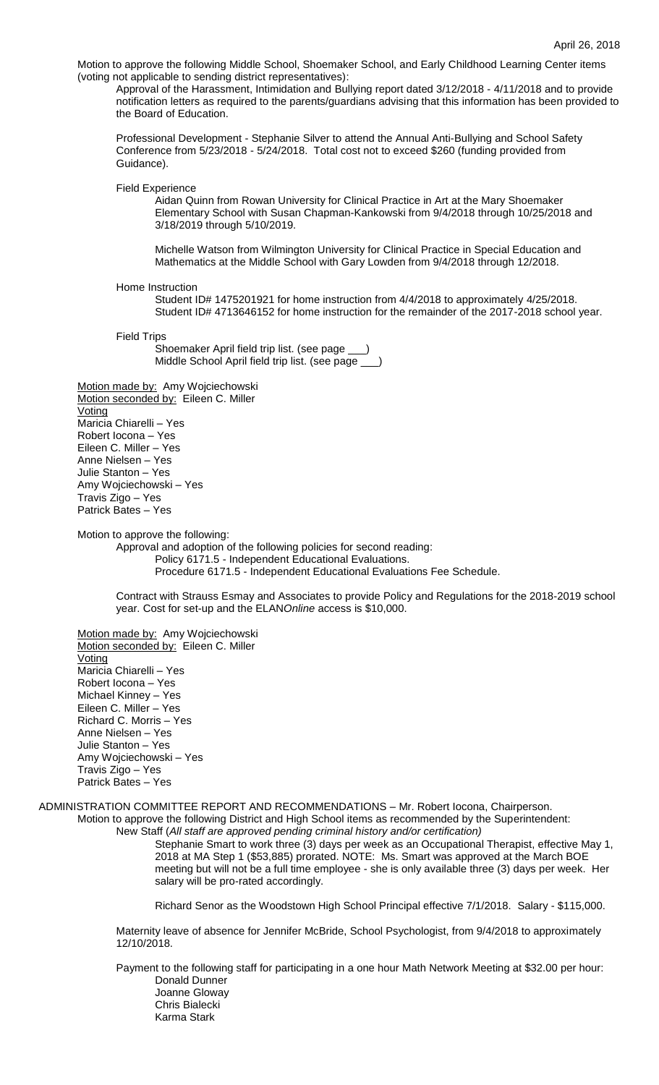Motion to approve the following Middle School, Shoemaker School, and Early Childhood Learning Center items (voting not applicable to sending district representatives):

Approval of the Harassment, Intimidation and Bullying report dated 3/12/2018 - 4/11/2018 and to provide notification letters as required to the parents/guardians advising that this information has been provided to the Board of Education.

Professional Development - Stephanie Silver to attend the Annual Anti-Bullying and School Safety Conference from 5/23/2018 - 5/24/2018. Total cost not to exceed \$260 (funding provided from Guidance).

Field Experience

Aidan Quinn from Rowan University for Clinical Practice in Art at the Mary Shoemaker Elementary School with Susan Chapman-Kankowski from 9/4/2018 through 10/25/2018 and 3/18/2019 through 5/10/2019.

Michelle Watson from Wilmington University for Clinical Practice in Special Education and Mathematics at the Middle School with Gary Lowden from 9/4/2018 through 12/2018.

Home Instruction

Student ID# 1475201921 for home instruction from 4/4/2018 to approximately 4/25/2018. Student ID# 4713646152 for home instruction for the remainder of the 2017-2018 school year.

Field Trips

Shoemaker April field trip list. (see page Middle School April field trip list. (see page \_

Motion made by: Amy Wojciechowski Motion seconded by: Eileen C. Miller Voting Maricia Chiarelli – Yes Robert Iocona – Yes Eileen C. Miller – Yes Anne Nielsen – Yes Julie Stanton – Yes Amy Wojciechowski – Yes Travis Zigo – Yes Patrick Bates – Yes

Motion to approve the following:

Approval and adoption of the following policies for second reading: Policy 6171.5 - Independent Educational Evaluations. Procedure 6171.5 - Independent Educational Evaluations Fee Schedule.

Contract with Strauss Esmay and Associates to provide Policy and Regulations for the 2018-2019 school year. Cost for set-up and the ELAN*Online* access is \$10,000.

Motion made by: Amy Wojciechowski Motion seconded by: Eileen C. Miller Voting Maricia Chiarelli – Yes Robert Iocona – Yes Michael Kinney – Yes Eileen C. Miller – Yes Richard C. Morris – Yes Anne Nielsen – Yes Julie Stanton – Yes Amy Wojciechowski – Yes Travis Zigo – Yes Patrick Bates – Yes

ADMINISTRATION COMMITTEE REPORT AND RECOMMENDATIONS – Mr. Robert Iocona, Chairperson. Motion to approve the following District and High School items as recommended by the Superintendent: New Staff (*All staff are approved pending criminal history and/or certification)*

Stephanie Smart to work three (3) days per week as an Occupational Therapist, effective May 1, 2018 at MA Step 1 (\$53,885) prorated. NOTE: Ms. Smart was approved at the March BOE meeting but will not be a full time employee - she is only available three (3) days per week. Her salary will be pro-rated accordingly.

Richard Senor as the Woodstown High School Principal effective 7/1/2018. Salary - \$115,000.

Maternity leave of absence for Jennifer McBride, School Psychologist, from 9/4/2018 to approximately 12/10/2018.

Payment to the following staff for participating in a one hour Math Network Meeting at \$32.00 per hour: Donald Dunner Joanne Gloway Chris Bialecki Karma Stark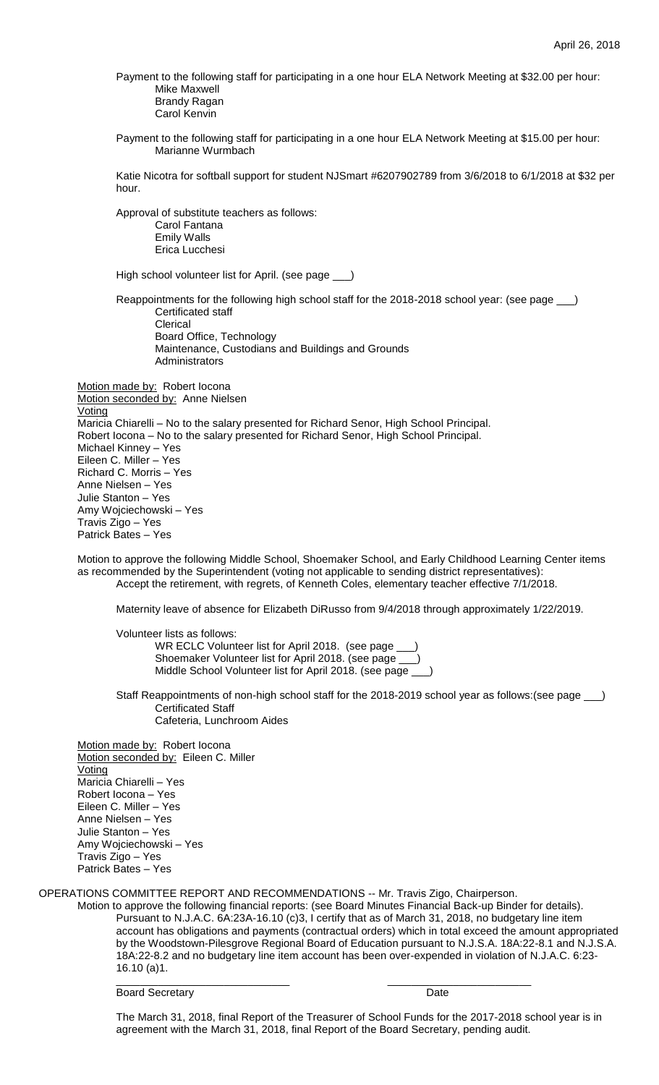Payment to the following staff for participating in a one hour ELA Network Meeting at \$32.00 per hour: Mike Maxwell Brandy Ragan

Carol Kenvin

Payment to the following staff for participating in a one hour ELA Network Meeting at \$15.00 per hour: Marianne Wurmbach

Katie Nicotra for softball support for student NJSmart #6207902789 from 3/6/2018 to 6/1/2018 at \$32 per hour.

Approval of substitute teachers as follows:

Carol Fantana Emily Walls Erica Lucchesi

High school volunteer list for April. (see page \_\_\_)

Reappointments for the following high school staff for the 2018-2018 school year: (see page \_\_\_) Certificated staff Clerical Board Office, Technology Maintenance, Custodians and Buildings and Grounds **Administrators** 

Motion made by: Robert locona Motion seconded by: Anne Nielsen Voting Maricia Chiarelli – No to the salary presented for Richard Senor, High School Principal. Robert Iocona – No to the salary presented for Richard Senor, High School Principal. Michael Kinney – Yes Eileen C. Miller – Yes Richard C. Morris – Yes Anne Nielsen – Yes Julie Stanton – Yes Amy Wojciechowski – Yes Travis Zigo – Yes Patrick Bates – Yes

Motion to approve the following Middle School, Shoemaker School, and Early Childhood Learning Center items as recommended by the Superintendent (voting not applicable to sending district representatives): Accept the retirement, with regrets, of Kenneth Coles, elementary teacher effective 7/1/2018.

Maternity leave of absence for Elizabeth DiRusso from 9/4/2018 through approximately 1/22/2019.

Volunteer lists as follows: WR ECLC Volunteer list for April 2018. (see page \_\_\_) Shoemaker Volunteer list for April 2018. (see page Middle School Volunteer list for April 2018. (see page \_\_\_)

Staff Reappointments of non-high school staff for the 2018-2019 school year as follows:(see page \_\_\_) Certificated Staff

Cafeteria, Lunchroom Aides

Motion made by: Robert Iocona Motion seconded by: Eileen C. Miller Voting Maricia Chiarelli – Yes Robert Iocona – Yes Eileen C. Miller – Yes Anne Nielsen – Yes Julie Stanton – Yes Amy Wojciechowski – Yes Travis Zigo – Yes Patrick Bates – Yes

OPERATIONS COMMITTEE REPORT AND RECOMMENDATIONS -- Mr. Travis Zigo, Chairperson.

Motion to approve the following financial reports: (see Board Minutes Financial Back-up Binder for details). Pursuant to N.J.A.C. 6A:23A-16.10 (c)3, I certify that as of March 31, 2018, no budgetary line item account has obligations and payments (contractual orders) which in total exceed the amount appropriated by the Woodstown-Pilesgrove Regional Board of Education pursuant to N.J.S.A. 18A:22-8.1 and N.J.S.A. 18A:22-8.2 and no budgetary line item account has been over-expended in violation of N.J.A.C. 6:23- 16.10 (a)1.

Board Secretary Date

The March 31, 2018, final Report of the Treasurer of School Funds for the 2017-2018 school year is in agreement with the March 31, 2018, final Report of the Board Secretary, pending audit.

\_\_\_\_\_\_\_\_\_\_\_\_\_\_\_\_\_\_\_\_\_\_\_\_\_\_\_\_\_ \_\_\_\_\_\_\_\_\_\_\_\_\_\_\_\_\_\_\_\_\_\_\_\_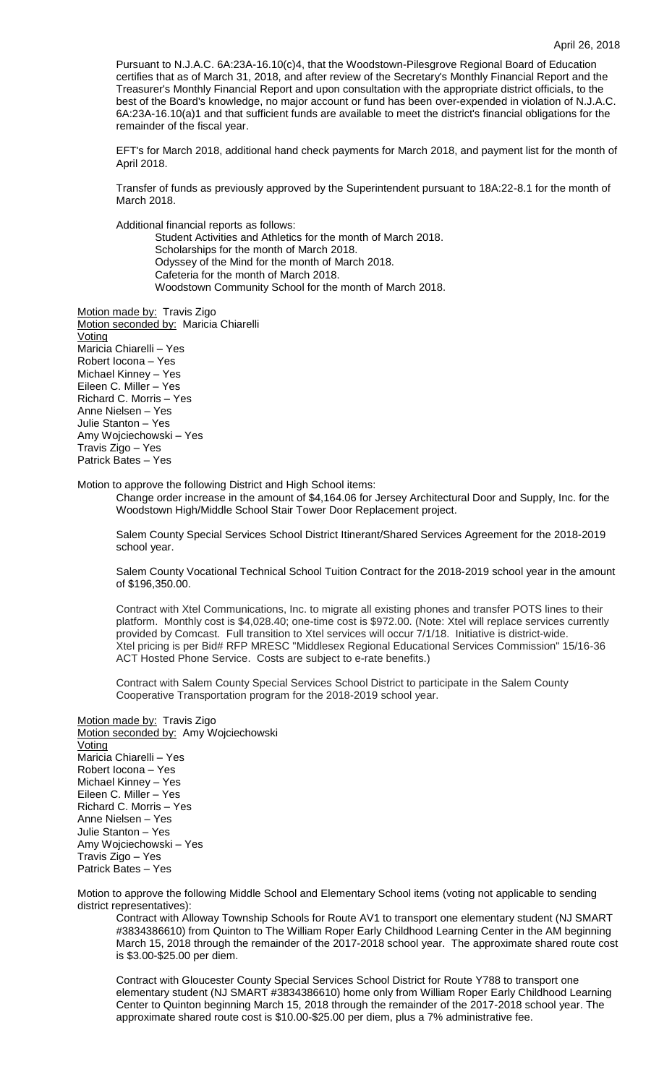Pursuant to N.J.A.C. 6A:23A-16.10(c)4, that the Woodstown-Pilesgrove Regional Board of Education certifies that as of March 31, 2018, and after review of the Secretary's Monthly Financial Report and the Treasurer's Monthly Financial Report and upon consultation with the appropriate district officials, to the best of the Board's knowledge, no major account or fund has been over-expended in violation of N.J.A.C. 6A:23A-16.10(a)1 and that sufficient funds are available to meet the district's financial obligations for the remainder of the fiscal year.

EFT's for March 2018, additional hand check payments for March 2018, and payment list for the month of April 2018.

Transfer of funds as previously approved by the Superintendent pursuant to 18A:22-8.1 for the month of March 2018.

Additional financial reports as follows:

Student Activities and Athletics for the month of March 2018. Scholarships for the month of March 2018. Odyssey of the Mind for the month of March 2018. Cafeteria for the month of March 2018. Woodstown Community School for the month of March 2018.

Motion made by: Travis Zigo Motion seconded by: Maricia Chiarelli Voting Maricia Chiarelli – Yes Robert Iocona – Yes Michael Kinney – Yes Eileen C. Miller – Yes Richard C. Morris – Yes Anne Nielsen – Yes Julie Stanton – Yes Amy Wojciechowski – Yes Travis Zigo – Yes Patrick Bates – Yes

Motion to approve the following District and High School items:

Change order increase in the amount of \$4,164.06 for Jersey Architectural Door and Supply, Inc. for the Woodstown High/Middle School Stair Tower Door Replacement project.

Salem County Special Services School District Itinerant/Shared Services Agreement for the 2018-2019 school year.

Salem County Vocational Technical School Tuition Contract for the 2018-2019 school year in the amount of \$196,350.00.

Contract with Xtel Communications, Inc. to migrate all existing phones and transfer POTS lines to their platform. Monthly cost is \$4,028.40; one-time cost is \$972.00. (Note: Xtel will replace services currently provided by Comcast. Full transition to Xtel services will occur 7/1/18. Initiative is district-wide. Xtel pricing is per Bid# RFP MRESC "Middlesex Regional Educational Services Commission" 15/16-36 ACT Hosted Phone Service. Costs are subject to e-rate benefits.)

Contract with Salem County Special Services School District to participate in the Salem County Cooperative Transportation program for the 2018-2019 school year.

Motion made by: Travis Zigo Motion seconded by: Amy Wojciechowski Voting Maricia Chiarelli – Yes Robert Iocona – Yes Michael Kinney – Yes Eileen C. Miller – Yes Richard C. Morris – Yes Anne Nielsen – Yes Julie Stanton – Yes Amy Wojciechowski – Yes Travis Zigo – Yes Patrick Bates – Yes

Motion to approve the following Middle School and Elementary School items (voting not applicable to sending district representatives):

Contract with Alloway Township Schools for Route AV1 to transport one elementary student (NJ SMART #3834386610) from Quinton to The William Roper Early Childhood Learning Center in the AM beginning March 15, 2018 through the remainder of the 2017-2018 school year. The approximate shared route cost is \$3.00-\$25.00 per diem.

Contract with Gloucester County Special Services School District for Route Y788 to transport one elementary student (NJ SMART #3834386610) home only from William Roper Early Childhood Learning Center to Quinton beginning March 15, 2018 through the remainder of the 2017-2018 school year. The approximate shared route cost is \$10.00-\$25.00 per diem, plus a 7% administrative fee.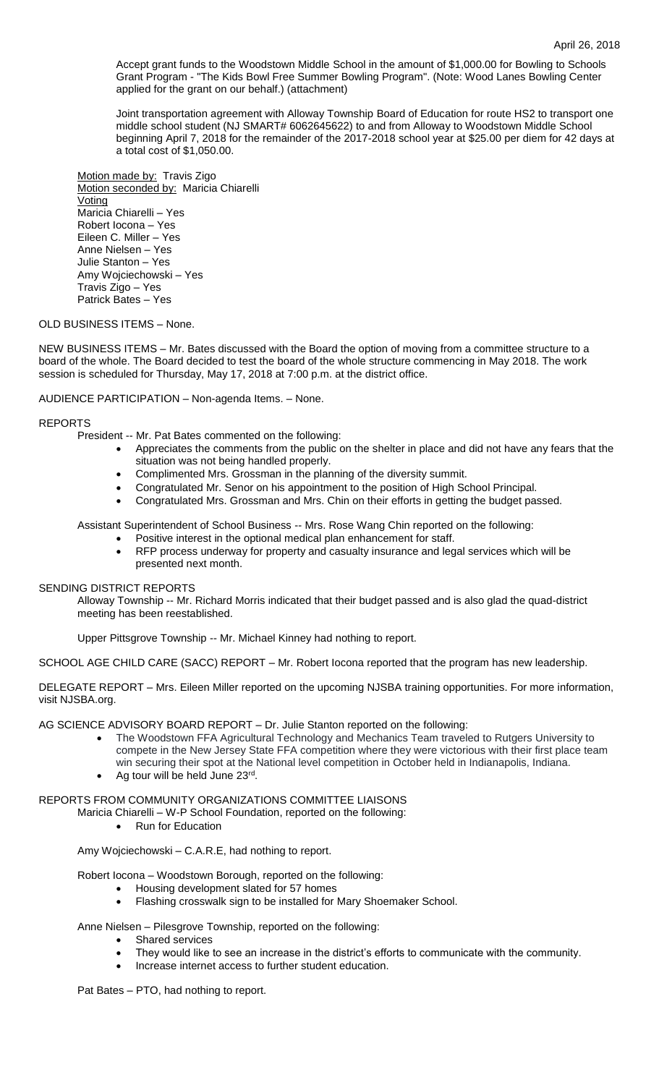Accept grant funds to the Woodstown Middle School in the amount of \$1,000.00 for Bowling to Schools Grant Program - "The Kids Bowl Free Summer Bowling Program". (Note: Wood Lanes Bowling Center applied for the grant on our behalf.) (attachment)

Joint transportation agreement with Alloway Township Board of Education for route HS2 to transport one middle school student (NJ SMART# 6062645622) to and from Alloway to Woodstown Middle School beginning April 7, 2018 for the remainder of the 2017-2018 school year at \$25.00 per diem for 42 days at a total cost of \$1,050.00.

Motion made by: Travis Zigo Motion seconded by: Maricia Chiarelli Voting Maricia Chiarelli – Yes Robert Iocona – Yes Eileen C. Miller – Yes Anne Nielsen – Yes Julie Stanton – Yes Amy Wojciechowski – Yes Travis Zigo – Yes Patrick Bates – Yes

## OLD BUSINESS ITEMS – None.

NEW BUSINESS ITEMS – Mr. Bates discussed with the Board the option of moving from a committee structure to a board of the whole. The Board decided to test the board of the whole structure commencing in May 2018. The work session is scheduled for Thursday, May 17, 2018 at 7:00 p.m. at the district office.

# AUDIENCE PARTICIPATION – Non-agenda Items. – None.

# REPORTS

- President -- Mr. Pat Bates commented on the following:
	- Appreciates the comments from the public on the shelter in place and did not have any fears that the situation was not being handled properly.
		- Complimented Mrs. Grossman in the planning of the diversity summit.
		- Congratulated Mr. Senor on his appointment to the position of High School Principal.
		- Congratulated Mrs. Grossman and Mrs. Chin on their efforts in getting the budget passed.

Assistant Superintendent of School Business -- Mrs. Rose Wang Chin reported on the following:

- Positive interest in the optional medical plan enhancement for staff.
- RFP process underway for property and casualty insurance and legal services which will be presented next month.

### SENDING DISTRICT REPORTS

Alloway Township -- Mr. Richard Morris indicated that their budget passed and is also glad the quad-district meeting has been reestablished.

Upper Pittsgrove Township -- Mr. Michael Kinney had nothing to report.

SCHOOL AGE CHILD CARE (SACC) REPORT – Mr. Robert Iocona reported that the program has new leadership.

DELEGATE REPORT – Mrs. Eileen Miller reported on the upcoming NJSBA training opportunities. For more information, visit NJSBA.org.

AG SCIENCE ADVISORY BOARD REPORT – Dr. Julie Stanton reported on the following:

- The Woodstown FFA Agricultural Technology and Mechanics Team traveled to Rutgers University to compete in the New Jersey State FFA competition where they were victorious with their first place team win securing their spot at the National level competition in October held in Indianapolis, Indiana.
- Ag tour will be held June 23rd.

# REPORTS FROM COMMUNITY ORGANIZATIONS COMMITTEE LIAISONS

- Maricia Chiarelli W-P School Foundation, reported on the following:
	- Run for Education

Amy Wojciechowski – C.A.R.E, had nothing to report.

Robert Iocona – Woodstown Borough, reported on the following:

- Housing development slated for 57 homes
- Flashing crosswalk sign to be installed for Mary Shoemaker School.

### Anne Nielsen – Pilesgrove Township, reported on the following:

- Shared services
- They would like to see an increase in the district's efforts to communicate with the community.
- Increase internet access to further student education.

Pat Bates – PTO, had nothing to report.